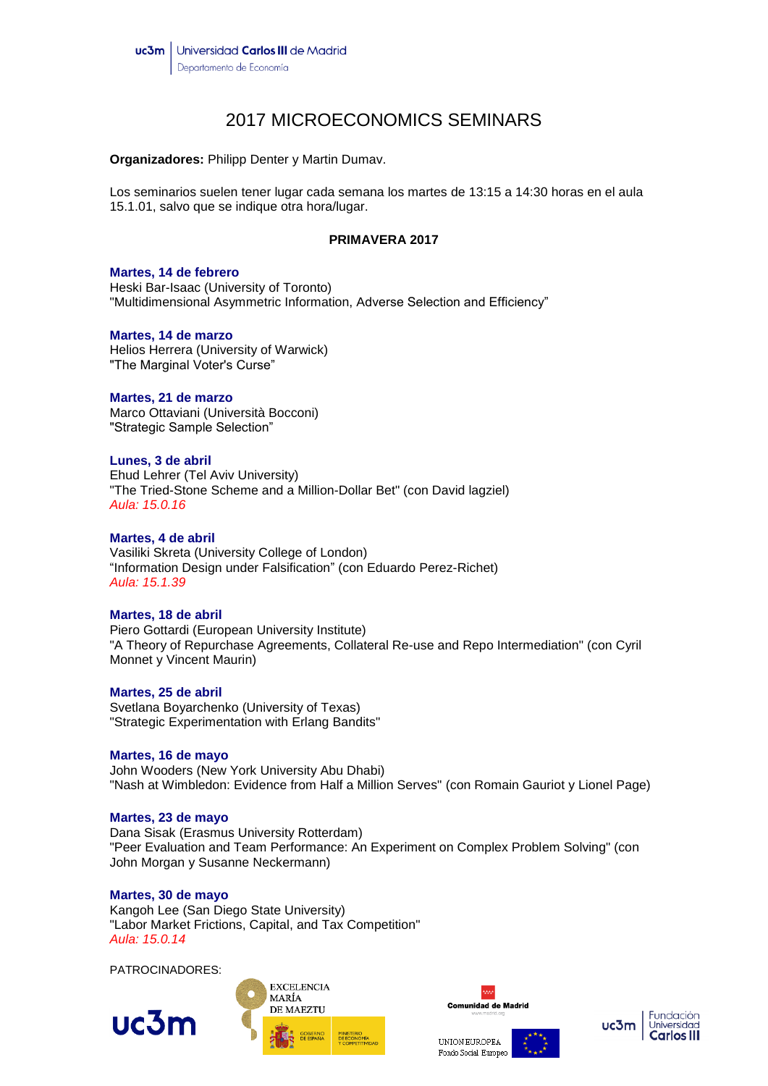# 2017 MICROECONOMICS SEMINARS

**Organizadores:** Philipp Denter y Martin Dumav.

Los seminarios suelen tener lugar cada semana los martes de 13:15 a 14:30 horas en el aula 15.1.01, salvo que se indique otra hora/lugar.

# **PRIMAVERA 2017**

### **Martes, 14 de febrero**

Heski Bar-Isaac (University of Toronto) "Multidimensional Asymmetric Information, Adverse Selection and Efficiency"

### **Martes, 14 de marzo**

Helios Herrera (University of Warwick) "The Marginal Voter's Curse"

### **Martes, 21 de marzo**

Marco Ottaviani (Università Bocconi) "Strategic Sample Selection"

### **Lunes, 3 de abril**

Ehud Lehrer (Tel Aviv University) "The Tried-Stone Scheme and a Million-Dollar Bet" (con David lagziel) *Aula: 15.0.16*

# **Martes, 4 de abril**

Vasiliki Skreta (University College of London) "Information Design under Falsification" (con Eduardo Perez-Richet) *Aula: 15.1.39*

# **Martes, 18 de abril**

Piero Gottardi (European University Institute) "A Theory of Repurchase Agreements, Collateral Re-use and Repo Intermediation" (con Cyril Monnet y Vincent Maurin)

# **Martes, 25 de abril**

Svetlana Boyarchenko (University of Texas) "Strategic Experimentation with Erlang Bandits"

# **Martes, 16 de mayo**

John Wooders (New York University Abu Dhabi) "Nash at Wimbledon: Evidence from Half a Million Serves" (con Romain Gauriot y Lionel Page)

# **Martes, 23 de mayo**

Dana Sisak (Erasmus University Rotterdam) "Peer Evaluation and Team Performance: An Experiment on Complex Problem Solving" (con John Morgan y Susanne Neckermann)

# **Martes, 30 de mayo**

Kangoh Lee (San Diego State University) "Labor Market Frictions, Capital, and Tax Competition" *Aula: 15.0.14*

PATROCINADORES: